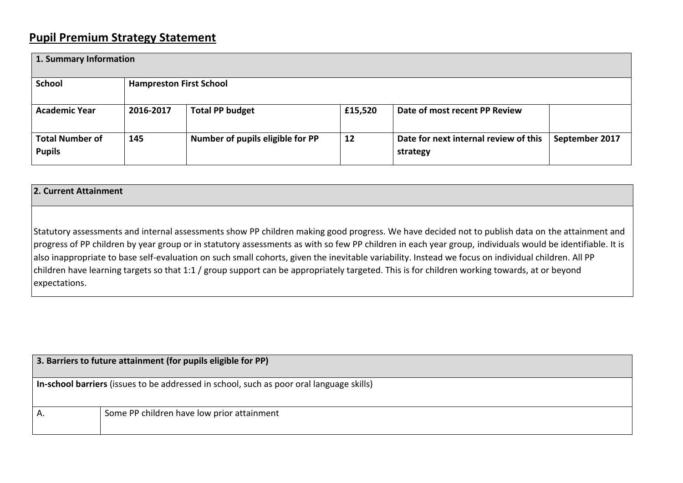## **Pupil Premium Strategy Statement**

| 1. Summary Information                  |                                |                                  |         |                                                   |                |  |
|-----------------------------------------|--------------------------------|----------------------------------|---------|---------------------------------------------------|----------------|--|
| <b>School</b>                           | <b>Hampreston First School</b> |                                  |         |                                                   |                |  |
| <b>Academic Year</b>                    | 2016-2017                      | <b>Total PP budget</b>           | £15,520 | Date of most recent PP Review                     |                |  |
| <b>Total Number of</b><br><b>Pupils</b> | 145                            | Number of pupils eligible for PP | 12      | Date for next internal review of this<br>strategy | September 2017 |  |

## **2. Current Attainment**

Statutory assessments and internal assessments show PP children making good progress. We have decided not to publish data on the attainment and progress of PP children by year group or in statutory assessments as with so few PP children in each year group, individuals would be identifiable. It is also inappropriate to base self-evaluation on such small cohorts, given the inevitable variability. Instead we focus on individual children. All PP children have learning targets so that 1:1 / group support can be appropriately targeted. This is for children working towards, at or beyond expectations.

| 3. Barriers to future attainment (for pupils eligible for PP)                            |                                            |  |  |  |  |
|------------------------------------------------------------------------------------------|--------------------------------------------|--|--|--|--|
| In-school barriers (issues to be addressed in school, such as poor oral language skills) |                                            |  |  |  |  |
| Α.                                                                                       | Some PP children have low prior attainment |  |  |  |  |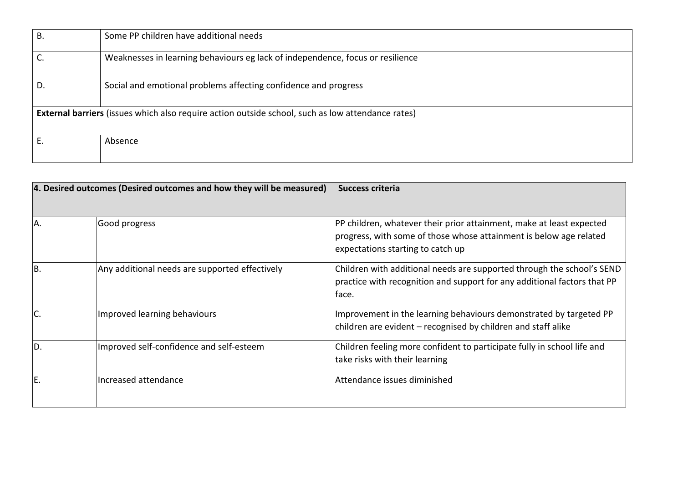| $B$ .                                                                                                    | Some PP children have additional needs                                         |  |  |  |  |
|----------------------------------------------------------------------------------------------------------|--------------------------------------------------------------------------------|--|--|--|--|
|                                                                                                          | Weaknesses in learning behaviours eg lack of independence, focus or resilience |  |  |  |  |
| D.                                                                                                       | Social and emotional problems affecting confidence and progress                |  |  |  |  |
| <b>External barriers</b> (issues which also require action outside school, such as low attendance rates) |                                                                                |  |  |  |  |
|                                                                                                          | Absence                                                                        |  |  |  |  |

| 4. Desired outcomes (Desired outcomes and how they will be measured) |                                                | Success criteria                                                                                                                                                                |  |  |
|----------------------------------------------------------------------|------------------------------------------------|---------------------------------------------------------------------------------------------------------------------------------------------------------------------------------|--|--|
| A                                                                    | Good progress                                  | PP children, whatever their prior attainment, make at least expected<br>progress, with some of those whose attainment is below age related<br>expectations starting to catch up |  |  |
| IB.                                                                  | Any additional needs are supported effectively | Children with additional needs are supported through the school's SEND<br>practice with recognition and support for any additional factors that PP<br>face.                     |  |  |
|                                                                      | Improved learning behaviours                   | Improvement in the learning behaviours demonstrated by targeted PP<br>children are evident – recognised by children and staff alike                                             |  |  |
| ID.                                                                  | Improved self-confidence and self-esteem       | Children feeling more confident to participate fully in school life and<br>take risks with their learning                                                                       |  |  |
| E                                                                    | Increased attendance                           | Attendance issues diminished                                                                                                                                                    |  |  |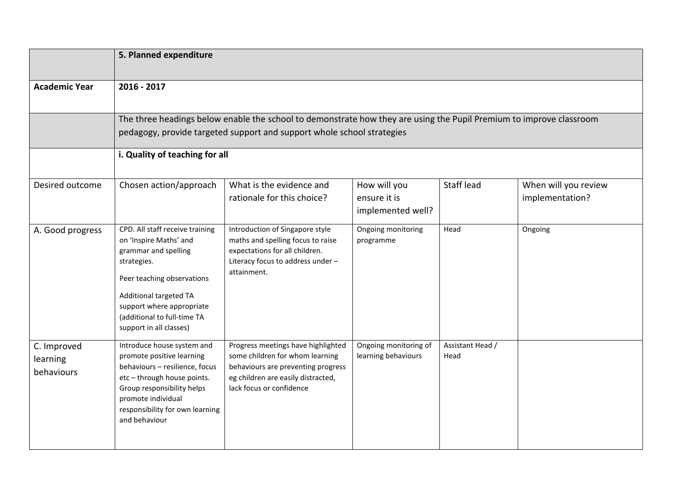|                                       | 5. Planned expenditure                                                                                                                                                                                                                          |                                                                                                                                                                               |                                                   |                          |                                         |  |  |
|---------------------------------------|-------------------------------------------------------------------------------------------------------------------------------------------------------------------------------------------------------------------------------------------------|-------------------------------------------------------------------------------------------------------------------------------------------------------------------------------|---------------------------------------------------|--------------------------|-----------------------------------------|--|--|
| <b>Academic Year</b>                  | 2016 - 2017                                                                                                                                                                                                                                     |                                                                                                                                                                               |                                                   |                          |                                         |  |  |
|                                       | The three headings below enable the school to demonstrate how they are using the Pupil Premium to improve classroom<br>pedagogy, provide targeted support and support whole school strategies<br>i. Quality of teaching for all                 |                                                                                                                                                                               |                                                   |                          |                                         |  |  |
| Desired outcome                       | Chosen action/approach                                                                                                                                                                                                                          | What is the evidence and<br>rationale for this choice?                                                                                                                        | How will you<br>ensure it is<br>implemented well? | Staff lead               | When will you review<br>implementation? |  |  |
| A. Good progress                      | CPD. All staff receive training<br>on 'Inspire Maths' and<br>grammar and spelling<br>strategies.<br>Peer teaching observations<br>Additional targeted TA<br>support where appropriate<br>(additional to full-time TA<br>support in all classes) | Introduction of Singapore style<br>maths and spelling focus to raise<br>expectations for all children.<br>Literacy focus to address under -<br>attainment.                    | Ongoing monitoring<br>programme                   | Head                     | Ongoing                                 |  |  |
| C. Improved<br>learning<br>behaviours | Introduce house system and<br>promote positive learning<br>behaviours - resilience, focus<br>etc-through house points.<br>Group responsibility helps<br>promote individual<br>responsibility for own learning<br>and behaviour                  | Progress meetings have highlighted<br>some children for whom learning<br>behaviours are preventing progress<br>eg children are easily distracted,<br>lack focus or confidence | Ongoing monitoring of<br>learning behaviours      | Assistant Head /<br>Head |                                         |  |  |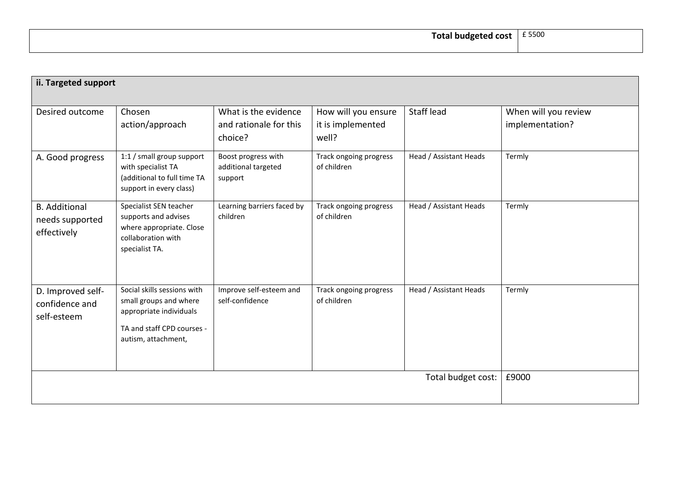| ii. Targeted support                                   |                                                                                                                                       |                                                           |                                                   |                        |                                         |
|--------------------------------------------------------|---------------------------------------------------------------------------------------------------------------------------------------|-----------------------------------------------------------|---------------------------------------------------|------------------------|-----------------------------------------|
| Desired outcome                                        | Chosen<br>action/approach                                                                                                             | What is the evidence<br>and rationale for this<br>choice? | How will you ensure<br>it is implemented<br>well? | Staff lead             | When will you review<br>implementation? |
| A. Good progress                                       | 1:1 / small group support<br>with specialist TA<br>(additional to full time TA<br>support in every class)                             | Boost progress with<br>additional targeted<br>support     | Track ongoing progress<br>of children             | Head / Assistant Heads | Termly                                  |
| <b>B.</b> Additional<br>needs supported<br>effectively | Specialist SEN teacher<br>supports and advises<br>where appropriate. Close<br>collaboration with<br>specialist TA.                    | Learning barriers faced by<br>children                    | Track ongoing progress<br>of children             | Head / Assistant Heads | Termly                                  |
| D. Improved self-<br>confidence and<br>self-esteem     | Social skills sessions with<br>small groups and where<br>appropriate individuals<br>TA and staff CPD courses -<br>autism, attachment, | Improve self-esteem and<br>self-confidence                | Track ongoing progress<br>of children             | Head / Assistant Heads | Termly                                  |
| Total budget cost:                                     |                                                                                                                                       |                                                           |                                                   |                        | £9000                                   |